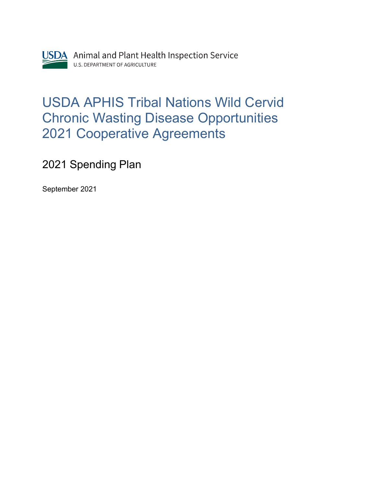

## USDA APHIS Tribal Nations Wild Cervid Chronic Wasting Disease Opportunities 2021 Cooperative Agreements

2021 Spending Plan

September 2021